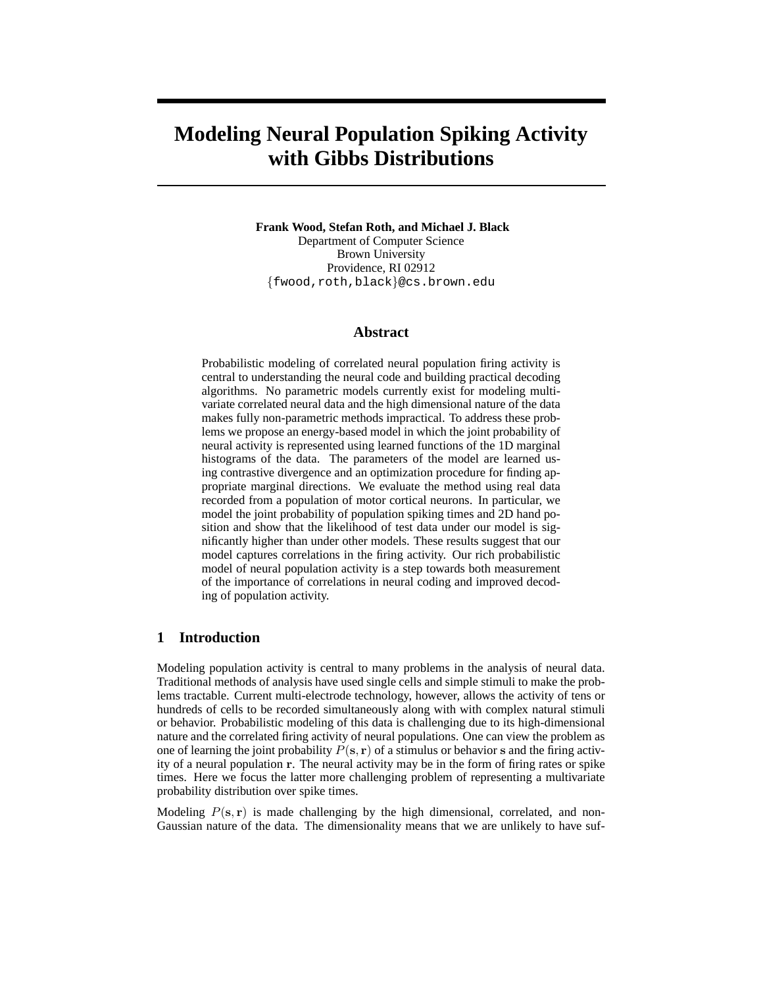# **Modeling Neural Population Spiking Activity with Gibbs Distributions**

**Frank Wood, Stefan Roth, and Michael J. Black** Department of Computer Science Brown University Providence, RI 02912 {fwood,roth,black}@cs.brown.edu

### **Abstract**

Probabilistic modeling of correlated neural population firing activity is central to understanding the neural code and building practical decoding algorithms. No parametric models currently exist for modeling multivariate correlated neural data and the high dimensional nature of the data makes fully non-parametric methods impractical. To address these problems we propose an energy-based model in which the joint probability of neural activity is represented using learned functions of the 1D marginal histograms of the data. The parameters of the model are learned using contrastive divergence and an optimization procedure for finding appropriate marginal directions. We evaluate the method using real data recorded from a population of motor cortical neurons. In particular, we model the joint probability of population spiking times and 2D hand position and show that the likelihood of test data under our model is significantly higher than under other models. These results suggest that our model captures correlations in the firing activity. Our rich probabilistic model of neural population activity is a step towards both measurement of the importance of correlations in neural coding and improved decoding of population activity.

## **1 Introduction**

Modeling population activity is central to many problems in the analysis of neural data. Traditional methods of analysis have used single cells and simple stimuli to make the problems tractable. Current multi-electrode technology, however, allows the activity of tens or hundreds of cells to be recorded simultaneously along with with complex natural stimuli or behavior. Probabilistic modeling of this data is challenging due to its high-dimensional nature and the correlated firing activity of neural populations. One can view the problem as one of learning the joint probability  $P(s, r)$  of a stimulus or behavior s and the firing activity of a neural population r. The neural activity may be in the form of firing rates or spike times. Here we focus the latter more challenging problem of representing a multivariate probability distribution over spike times.

Modeling  $P(s, r)$  is made challenging by the high dimensional, correlated, and non-Gaussian nature of the data. The dimensionality means that we are unlikely to have suf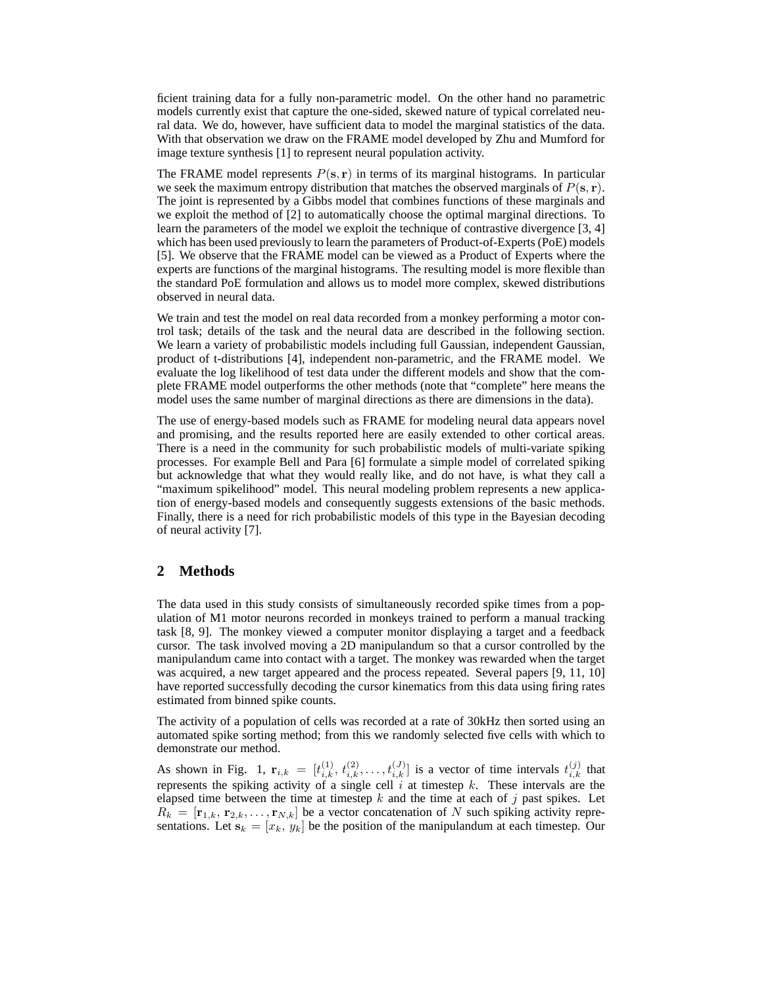ficient training data for a fully non-parametric model. On the other hand no parametric models currently exist that capture the one-sided, skewed nature of typical correlated neural data. We do, however, have sufficient data to model the marginal statistics of the data. With that observation we draw on the FRAME model developed by Zhu and Mumford for image texture synthesis [1] to represent neural population activity.

The FRAME model represents  $P(s, r)$  in terms of its marginal histograms. In particular we seek the maximum entropy distribution that matches the observed marginals of  $P(s, r)$ . The joint is represented by a Gibbs model that combines functions of these marginals and we exploit the method of [2] to automatically choose the optimal marginal directions. To learn the parameters of the model we exploit the technique of contrastive divergence [3, 4] which has been used previously to learn the parameters of Product-of-Experts (PoE) models [5]. We observe that the FRAME model can be viewed as a Product of Experts where the experts are functions of the marginal histograms. The resulting model is more flexible than the standard PoE formulation and allows us to model more complex, skewed distributions observed in neural data.

We train and test the model on real data recorded from a monkey performing a motor control task; details of the task and the neural data are described in the following section. We learn a variety of probabilistic models including full Gaussian, independent Gaussian, product of t-distributions [4], independent non-parametric, and the FRAME model. We evaluate the log likelihood of test data under the different models and show that the complete FRAME model outperforms the other methods (note that "complete" here means the model uses the same number of marginal directions as there are dimensions in the data).

The use of energy-based models such as FRAME for modeling neural data appears novel and promising, and the results reported here are easily extended to other cortical areas. There is a need in the community for such probabilistic models of multi-variate spiking processes. For example Bell and Para [6] formulate a simple model of correlated spiking but acknowledge that what they would really like, and do not have, is what they call a "maximum spikelihood" model. This neural modeling problem represents a new application of energy-based models and consequently suggests extensions of the basic methods. Finally, there is a need for rich probabilistic models of this type in the Bayesian decoding of neural activity [7].

#### **2 Methods**

The data used in this study consists of simultaneously recorded spike times from a population of M1 motor neurons recorded in monkeys trained to perform a manual tracking task [8, 9]. The monkey viewed a computer monitor displaying a target and a feedback cursor. The task involved moving a 2D manipulandum so that a cursor controlled by the manipulandum came into contact with a target. The monkey was rewarded when the target was acquired, a new target appeared and the process repeated. Several papers [9, 11, 10] have reported successfully decoding the cursor kinematics from this data using firing rates estimated from binned spike counts.

The activity of a population of cells was recorded at a rate of 30kHz then sorted using an automated spike sorting method; from this we randomly selected five cells with which to demonstrate our method.

As shown in Fig. 1,  $\mathbf{r}_{i,k} = [t_{i,k}^{(1)}, t_{i,k}^{(2)}, \dots, t_{i,k}^{(J)}]$  is a vector of time intervals  $t_{i,k}^{(j)}$  that represents the spiking activity of a single cell  $i$  at timestep  $k$ . These intervals are the elapsed time between the time at timestep k and the time at each of j past spikes. Let  $R_k = [\mathbf{r}_{1,k}, \mathbf{r}_{2,k}, \dots, \mathbf{r}_{N,k}]$  be a vector concatenation of N such spiking activity representations. Let  $s_k = [x_k, y_k]$  be the position of the manipulandum at each timestep. Our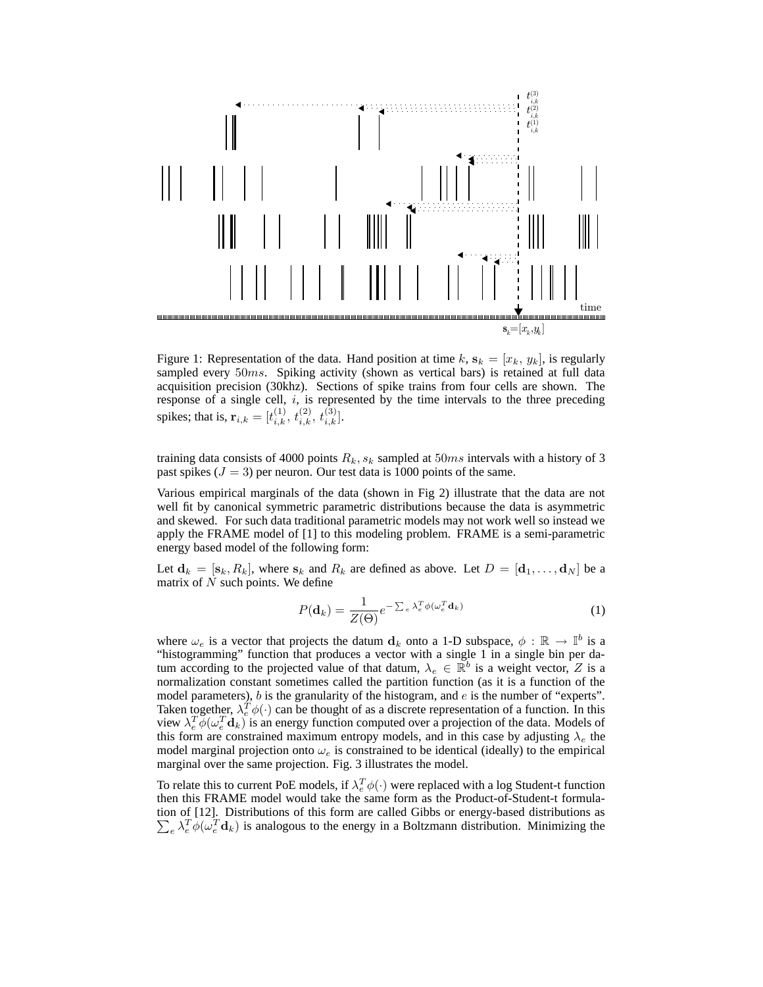

Figure 1: Representation of the data. Hand position at time k,  $s_k = [x_k, y_k]$ , is regularly sampled every 50ms. Spiking activity (shown as vertical bars) is retained at full data acquisition precision (30khz). Sections of spike trains from four cells are shown. The response of a single cell,  $i$ , is represented by the time intervals to the three preceding spikes; that is,  $\mathbf{r}_{i,k} = [t_{i,k}^{(1)}, t_{i,k}^{(2)}, t_{i,k}^{(3)}].$ 

training data consists of 4000 points  $R_k$ ,  $s_k$  sampled at 50ms intervals with a history of 3 past spikes  $(J = 3)$  per neuron. Our test data is 1000 points of the same.

Various empirical marginals of the data (shown in Fig 2) illustrate that the data are not well fit by canonical symmetric parametric distributions because the data is asymmetric and skewed. For such data traditional parametric models may not work well so instead we apply the FRAME model of [1] to this modeling problem. FRAME is a semi-parametric energy based model of the following form:

Let  $\mathbf{d}_k = [\mathbf{s}_k, R_k]$ , where  $\mathbf{s}_k$  and  $R_k$  are defined as above. Let  $D = [\mathbf{d}_1, \dots, \mathbf{d}_N]$  be a matrix of  $N$  such points. We define

$$
P(\mathbf{d}_k) = \frac{1}{Z(\Theta)} e^{-\sum_e \lambda_e^T \phi(\omega_e^T \mathbf{d}_k)}
$$
(1)

where  $\omega_e$  is a vector that projects the datum  $\mathbf{d}_k$  onto a 1-D subspace,  $\phi : \mathbb{R} \to \mathbb{I}^b$  is a "histogramming" function that produces a vector with a single 1 in a single bin per datum according to the projected value of that datum,  $\lambda_e \in \mathbb{R}^b$  is a weight vector, Z is a normalization constant sometimes called the partition function (as it is a function of the model parameters), b is the granularity of the histogram, and  $e$  is the number of "experts". Taken together,  $\lambda_e^T \phi(\cdot)$  can be thought of as a discrete representation of a function. In this view  $\lambda_e^T \phi(\omega_e^T \mathbf{d}_k)$  is an energy function computed over a projection of the data. Models of this form are constrained maximum entropy models, and in this case by adjusting  $\lambda_e$  the model marginal projection onto  $\omega_e$  is constrained to be identical (ideally) to the empirical marginal over the same projection. Fig. 3 illustrates the model.

To relate this to current PoE models, if  $\lambda_e^T \phi(\cdot)$  were replaced with a log Student-t function then this FRAME model would take the same form as the Product-of-Student-t formulation of [12]. Distributions of this form are called Gibbs or energy-based distributions as  $\sum_e \lambda_e^T \phi(\omega_e^T \mathbf{d}_k)$  is analogous to the energy in a Boltzmann distribution. Minimizing the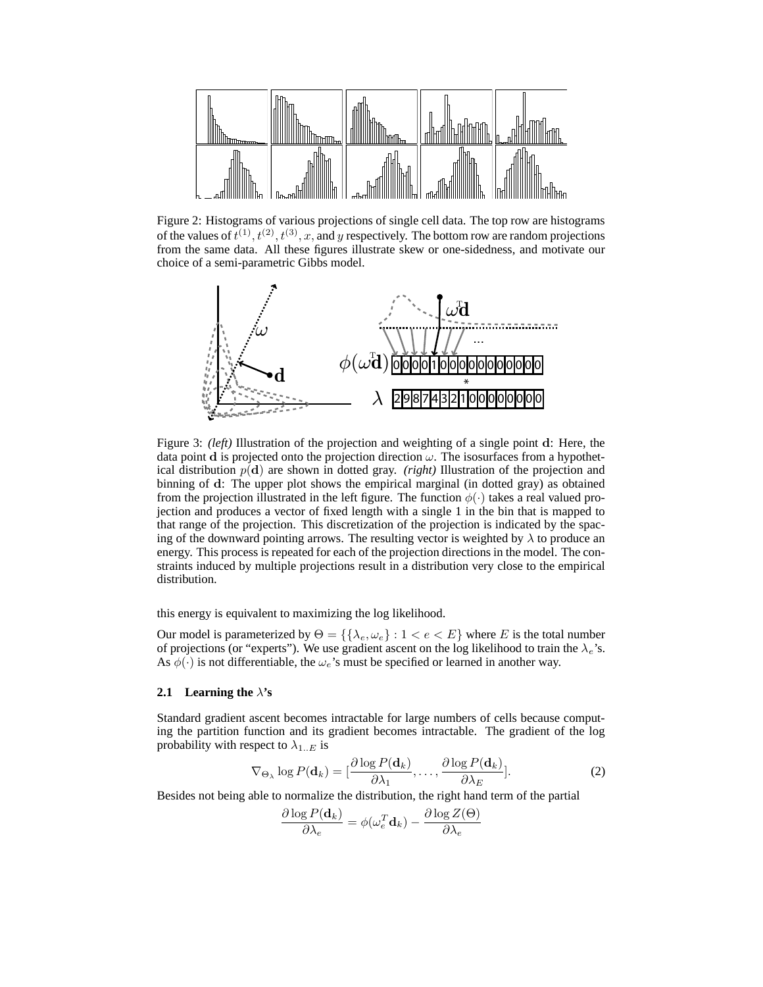

Figure 2: Histograms of various projections of single cell data. The top row are histograms of the values of  $t^{(1)}$ ,  $t^{(2)}$ ,  $t^{(3)}$ , x, and y respectively. The bottom row are random projections from the same data. All these figures illustrate skew or one-sidedness, and motivate our choice of a semi-parametric Gibbs model.



Figure 3: *(left)* Illustration of the projection and weighting of a single point d: Here, the data point d is projected onto the projection direction  $\omega$ . The isosurfaces from a hypothetical distribution  $p(d)$  are shown in dotted gray. *(right)* Illustration of the projection and binning of d: The upper plot shows the empirical marginal (in dotted gray) as obtained from the projection illustrated in the left figure. The function  $\phi(\cdot)$  takes a real valued projection and produces a vector of fixed length with a single 1 in the bin that is mapped to that range of the projection. This discretization of the projection is indicated by the spacing of the downward pointing arrows. The resulting vector is weighted by  $\lambda$  to produce an energy. This process is repeated for each of the projection directions in the model. The constraints induced by multiple projections result in a distribution very close to the empirical distribution.

this energy is equivalent to maximizing the log likelihood.

Our model is parameterized by  $\Theta = \{\{\lambda_e, \omega_e\} : 1 < e < E\}$  where E is the total number of projections (or "experts"). We use gradient ascent on the log likelihood to train the  $\lambda_e$ 's. As  $\phi(\cdot)$  is not differentiable, the  $\omega_e$ 's must be specified or learned in another way.

#### **2.1** Learning the  $\lambda$ 's

Standard gradient ascent becomes intractable for large numbers of cells because computing the partition function and its gradient becomes intractable. The gradient of the log probability with respect to  $\lambda_{1..E}$  is

$$
\nabla_{\Theta_{\lambda}} \log P(\mathbf{d}_k) = \left[\frac{\partial \log P(\mathbf{d}_k)}{\partial \lambda_1}, \dots, \frac{\partial \log P(\mathbf{d}_k)}{\partial \lambda_E}\right].
$$
 (2)

Besides not being able to normalize the distribution, the right hand term of the partial

$$
\frac{\partial \log P(\mathbf{d}_k)}{\partial \lambda_e} = \phi(\omega_e^T \mathbf{d}_k) - \frac{\partial \log Z(\Theta)}{\partial \lambda_e}
$$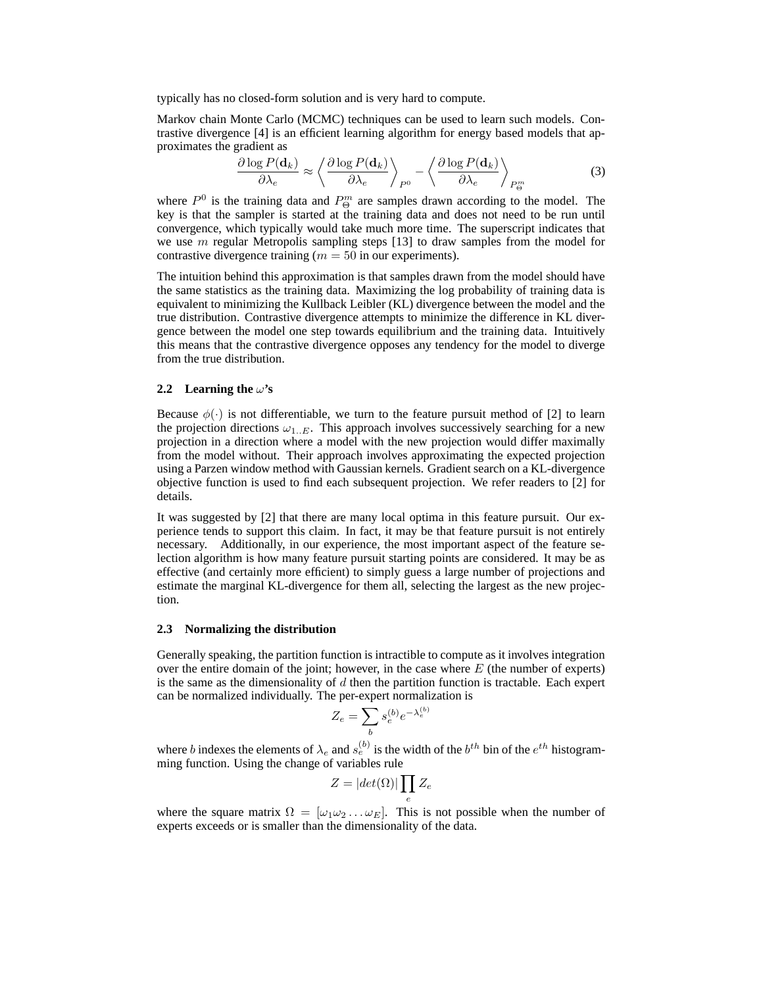typically has no closed-form solution and is very hard to compute.

Markov chain Monte Carlo (MCMC) techniques can be used to learn such models. Contrastive divergence [4] is an efficient learning algorithm for energy based models that approximates the gradient as

$$
\frac{\partial \log P(\mathbf{d}_k)}{\partial \lambda_e} \approx \left\langle \frac{\partial \log P(\mathbf{d}_k)}{\partial \lambda_e} \right\rangle_{P^0} - \left\langle \frac{\partial \log P(\mathbf{d}_k)}{\partial \lambda_e} \right\rangle_{P^m_{\Theta}} \tag{3}
$$

where  $P^0$  is the training data and  $P^m_{\Theta}$  are samples drawn according to the model. The key is that the sampler is started at the training data and does not need to be run until convergence, which typically would take much more time. The superscript indicates that we use  $m$  regular Metropolis sampling steps [13] to draw samples from the model for contrastive divergence training ( $m = 50$  in our experiments).

The intuition behind this approximation is that samples drawn from the model should have the same statistics as the training data. Maximizing the log probability of training data is equivalent to minimizing the Kullback Leibler (KL) divergence between the model and the true distribution. Contrastive divergence attempts to minimize the difference in KL divergence between the model one step towards equilibrium and the training data. Intuitively this means that the contrastive divergence opposes any tendency for the model to diverge from the true distribution.

#### **2.2** Learning the  $\omega$ 's

Because  $\phi(\cdot)$  is not differentiable, we turn to the feature pursuit method of [2] to learn the projection directions  $\omega_{1,F}$ . This approach involves successively searching for a new projection in a direction where a model with the new projection would differ maximally from the model without. Their approach involves approximating the expected projection using a Parzen window method with Gaussian kernels. Gradient search on a KL-divergence objective function is used to find each subsequent projection. We refer readers to [2] for details.

It was suggested by [2] that there are many local optima in this feature pursuit. Our experience tends to support this claim. In fact, it may be that feature pursuit is not entirely necessary. Additionally, in our experience, the most important aspect of the feature selection algorithm is how many feature pursuit starting points are considered. It may be as effective (and certainly more efficient) to simply guess a large number of projections and estimate the marginal KL-divergence for them all, selecting the largest as the new projection.

#### **2.3 Normalizing the distribution**

Generally speaking, the partition function is intractible to compute as it involves integration over the entire domain of the joint; however, in the case where  $E$  (the number of experts) is the same as the dimensionality of  $d$  then the partition function is tractable. Each expert can be normalized individually. The per-expert normalization is

$$
Z_e = \sum_b s_e^{(b)} e^{-\lambda_e^{(b)}}
$$

where b indexes the elements of  $\lambda_e$  and  $s_e^{(b)}$  is the width of the  $b^{th}$  bin of the  $e^{th}$  histogramming function. Using the change of variables rule

$$
Z = |det(\Omega)| \prod_e Z_e
$$

where the square matrix  $\Omega = [\omega_1 \omega_2 \dots \omega_F]$ . This is not possible when the number of experts exceeds or is smaller than the dimensionality of the data.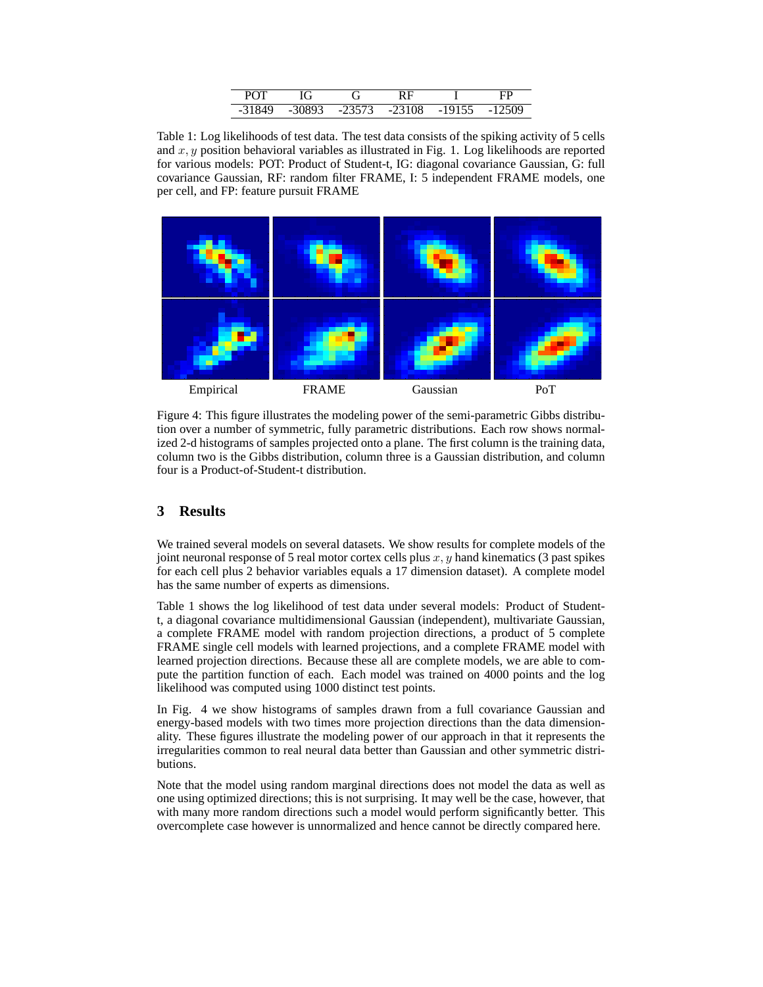| <b>POT</b> |          |      |          |          |            |
|------------|----------|------|----------|----------|------------|
| $-31849$   | $-30893$ | $-2$ | $-23108$ | $-19155$ | 509<br>- 1 |

Table 1: Log likelihoods of test data. The test data consists of the spiking activity of 5 cells and  $x, y$  position behavioral variables as illustrated in Fig. 1. Log likelihoods are reported for various models: POT: Product of Student-t, IG: diagonal covariance Gaussian, G: full covariance Gaussian, RF: random filter FRAME, I: 5 independent FRAME models, one per cell, and FP: feature pursuit FRAME



Figure 4: This figure illustrates the modeling power of the semi-parametric Gibbs distribution over a number of symmetric, fully parametric distributions. Each row shows normalized 2-d histograms of samples projected onto a plane. The first column is the training data, column two is the Gibbs distribution, column three is a Gaussian distribution, and column four is a Product-of-Student-t distribution.

## **3 Results**

We trained several models on several datasets. We show results for complete models of the joint neuronal response of 5 real motor cortex cells plus  $x, y$  hand kinematics (3 past spikes for each cell plus 2 behavior variables equals a 17 dimension dataset). A complete model has the same number of experts as dimensions.

Table 1 shows the log likelihood of test data under several models: Product of Studentt, a diagonal covariance multidimensional Gaussian (independent), multivariate Gaussian, a complete FRAME model with random projection directions, a product of 5 complete FRAME single cell models with learned projections, and a complete FRAME model with learned projection directions. Because these all are complete models, we are able to compute the partition function of each. Each model was trained on 4000 points and the log likelihood was computed using 1000 distinct test points.

In Fig. 4 we show histograms of samples drawn from a full covariance Gaussian and energy-based models with two times more projection directions than the data dimensionality. These figures illustrate the modeling power of our approach in that it represents the irregularities common to real neural data better than Gaussian and other symmetric distributions.

Note that the model using random marginal directions does not model the data as well as one using optimized directions; this is not surprising. It may well be the case, however, that with many more random directions such a model would perform significantly better. This overcomplete case however is unnormalized and hence cannot be directly compared here.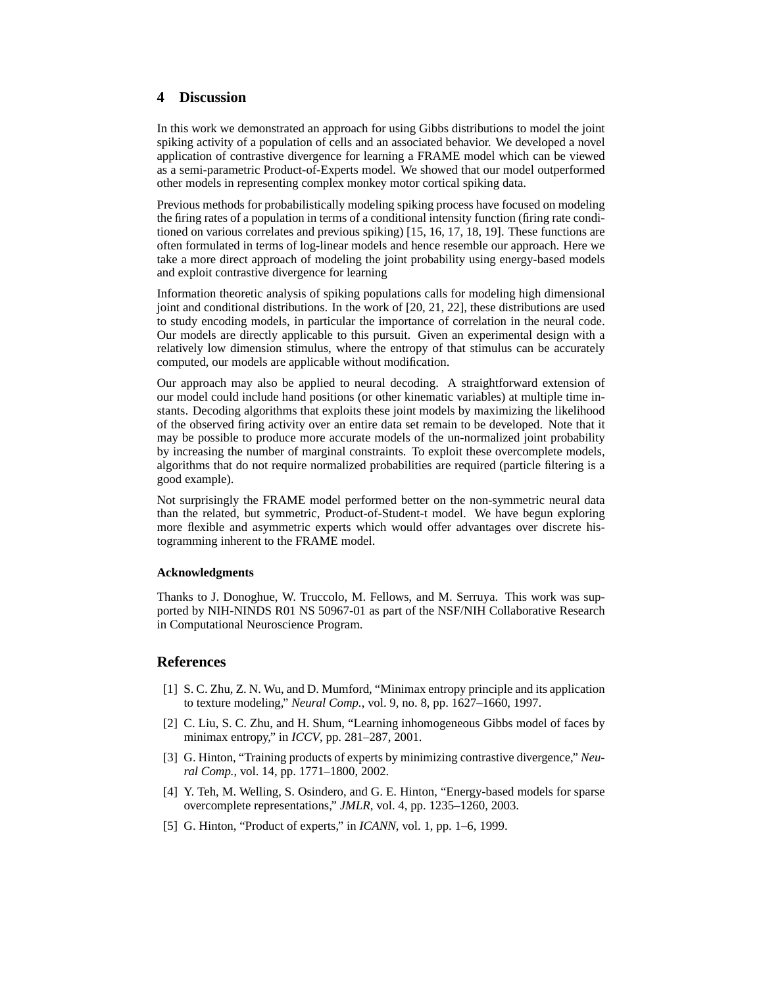## **4 Discussion**

In this work we demonstrated an approach for using Gibbs distributions to model the joint spiking activity of a population of cells and an associated behavior. We developed a novel application of contrastive divergence for learning a FRAME model which can be viewed as a semi-parametric Product-of-Experts model. We showed that our model outperformed other models in representing complex monkey motor cortical spiking data.

Previous methods for probabilistically modeling spiking process have focused on modeling the firing rates of a population in terms of a conditional intensity function (firing rate conditioned on various correlates and previous spiking) [15, 16, 17, 18, 19]. These functions are often formulated in terms of log-linear models and hence resemble our approach. Here we take a more direct approach of modeling the joint probability using energy-based models and exploit contrastive divergence for learning

Information theoretic analysis of spiking populations calls for modeling high dimensional joint and conditional distributions. In the work of [20, 21, 22], these distributions are used to study encoding models, in particular the importance of correlation in the neural code. Our models are directly applicable to this pursuit. Given an experimental design with a relatively low dimension stimulus, where the entropy of that stimulus can be accurately computed, our models are applicable without modification.

Our approach may also be applied to neural decoding. A straightforward extension of our model could include hand positions (or other kinematic variables) at multiple time instants. Decoding algorithms that exploits these joint models by maximizing the likelihood of the observed firing activity over an entire data set remain to be developed. Note that it may be possible to produce more accurate models of the un-normalized joint probability by increasing the number of marginal constraints. To exploit these overcomplete models, algorithms that do not require normalized probabilities are required (particle filtering is a good example).

Not surprisingly the FRAME model performed better on the non-symmetric neural data than the related, but symmetric, Product-of-Student-t model. We have begun exploring more flexible and asymmetric experts which would offer advantages over discrete histogramming inherent to the FRAME model.

#### **Acknowledgments**

Thanks to J. Donoghue, W. Truccolo, M. Fellows, and M. Serruya. This work was supported by NIH-NINDS R01 NS 50967-01 as part of the NSF/NIH Collaborative Research in Computational Neuroscience Program.

## **References**

- [1] S. C. Zhu, Z. N. Wu, and D. Mumford, "Minimax entropy principle and its application to texture modeling," *Neural Comp.*, vol. 9, no. 8, pp. 1627–1660, 1997.
- [2] C. Liu, S. C. Zhu, and H. Shum, "Learning inhomogeneous Gibbs model of faces by minimax entropy," in *ICCV*, pp. 281–287, 2001.
- [3] G. Hinton, "Training products of experts by minimizing contrastive divergence," *Neural Comp.*, vol. 14, pp. 1771–1800, 2002.
- [4] Y. Teh, M. Welling, S. Osindero, and G. E. Hinton, "Energy-based models for sparse overcomplete representations," *JMLR*, vol. 4, pp. 1235–1260, 2003.
- [5] G. Hinton, "Product of experts," in *ICANN*, vol. 1, pp. 1–6, 1999.